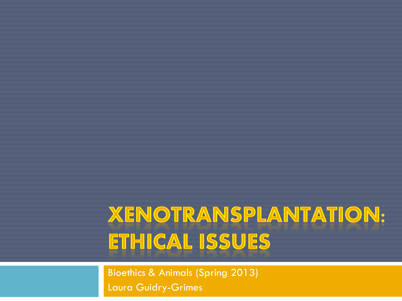#### **XENOTRANSPLANTATION:** ETHICAL ISSUES

Bioethics & Animals (Spring 2013) Laura Guidry-Grimes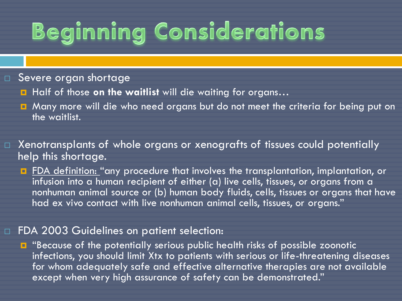## **Beginning Considerations**

#### □ Severe organ shortage

- **H** Half of those **on the waitlist** will die waiting for organs...
- **E** Many more will die who need organs but do not meet the criteria for being put on the waitlist.
- $\Box$  Xenotransplants of whole organs or xenografts of tissues could potentially help this shortage.
	- **F** FDA definition: "any procedure that involves the transplantation, implantation, or infusion into a human recipient of either (a) live cells, tissues, or organs from a nonhuman animal source or (b) human body fluids, cells, tissues or organs that have had ex vivo contact with live nonhuman animal cells, tissues, or organs."

#### □ FDA 2003 Guidelines on patient selection:

**E** "Because of the potentially serious public health risks of possible zoonotic infections, you should limit Xtx to patients with serious or life-threatening diseases for whom adequately safe and effective alternative therapies are not available except when very high assurance of safety can be demonstrated."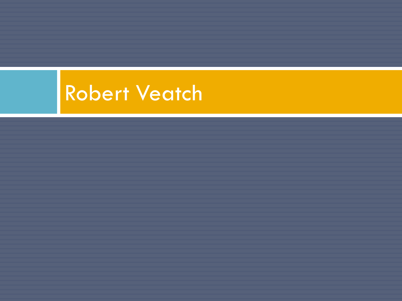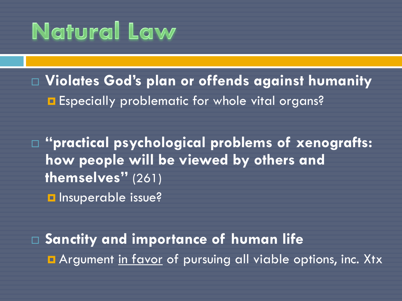#### **Natural Law**

 **Violates God's plan or offends against humanity E** Especially problematic for whole vital organs?

 **"practical psychological problems of xenografts: how people will be viewed by others and themselves"** (261) **Insuperable issue?** 

 **Sanctity and importance of human life E** Argument in favor of pursuing all viable options, inc. Xtx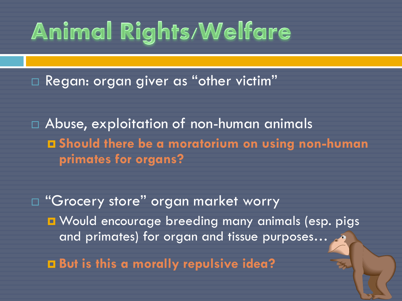## **Animal Rights/Welfare**

□ Regan: organ giver as "other victim"

 Abuse, exploitation of non-human animals **Should there be a moratorium on using non-human primates for organs?**

□ "Grocery store" organ market worry **D** Would encourage breeding many animals (esp. pigs and primates) for organ and tissue purposes… **But is this a morally repulsive idea?**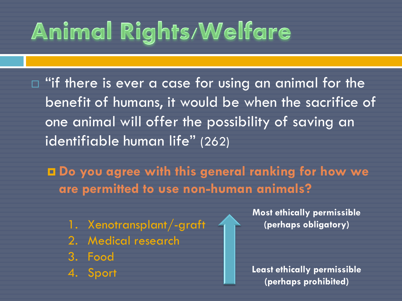# **Animal Rights/Welfare**

 $\Box$  "if there is ever a case for using an animal for the benefit of humans, it would be when the sacrifice of one animal will offer the possibility of saving an identifiable human life" (262)

 **Do you agree with this general ranking for how we are permitted to use non-human animals?**

- 1. Xenotransplant/-graft
- 2. Medical research
- 3. Food
- 4. Sport

**Most ethically permissible (perhaps obligatory)**

**Least ethically permissible (perhaps prohibited)**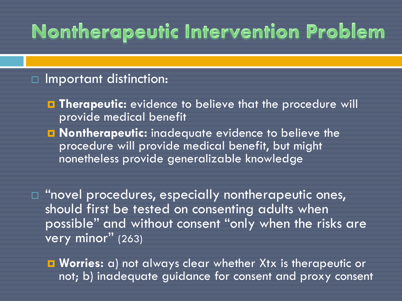#### **Nontherapeutic Intervention Problem**

#### □ Important distinction:

- **Therapeutic:** evidence to believe that the procedure will provide medical benefit
- **Nontherapeutic:** inadequate evidence to believe the procedure will provide medical benefit, but might nonetheless provide generalizable knowledge

 $\Box$  "novel procedures, especially nontherapeutic ones, should first be tested on consenting adults when possible" and without consent "only when the risks are very minor" (263)

 **Worries:** a) not always clear whether Xtx is therapeutic or not; b) inadequate guidance for consent and proxy consent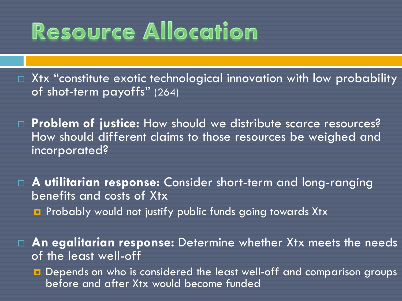#### **Resource Allocation**

 $\Box$  Xtx "constitute exotic technological innovation with low probability of shot-term payoffs" (264)

 **Problem of justice:** How should we distribute scarce resources? How should different claims to those resources be weighed and incorporated?

 **A utilitarian response:** Consider short-term and long-ranging benefits and costs of Xtx **Probably would not justify public funds going towards Xtx** 

 **An egalitarian response:** Determine whether Xtx meets the needs of the least well-off

**Depends on who is considered the least well-off and comparison groups** before and after Xtx would become funded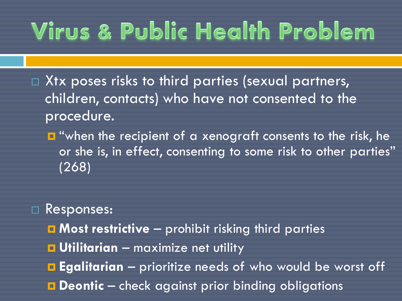### **Virus & Public Health Problem**

- $\Box$  Xtx poses risks to third parties (sexual partners, children, contacts) who have not consented to the procedure.
	- **D** "when the recipient of a xenograft consents to the risk, he or she is, in effect, consenting to some risk to other parties" (268)
- Responses:
	- **Most restrictive** prohibit risking third parties
	- **u** Utilitarian maximize net utility
	- **Egalitarian** prioritize needs of who would be worst off
	- **Deontic** check against prior binding obligations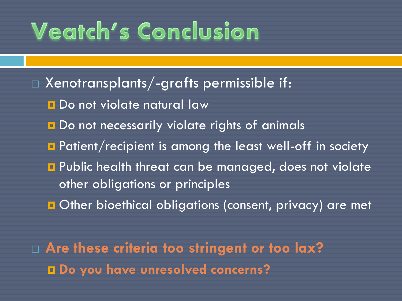#### **Veatch's Conclusion**

 $\Box$  Xenotransplants/-grafts permissible if: **Do not violate natural law** Do not necessarily violate rights of animals **Patient/recipient is among the least well-off in society Public health threat can be managed, does not violate** other obligations or principles **Other bioethical obligations (consent, privacy) are met** 

 **Are these criteria too stringent or too lax? Do you have unresolved concerns?**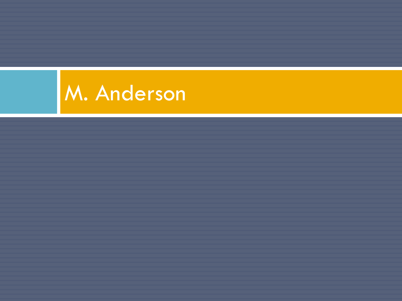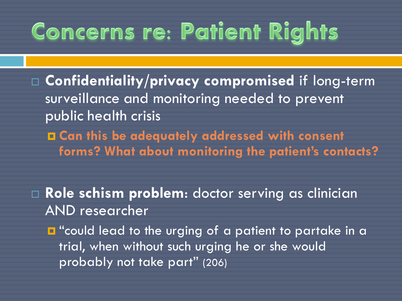#### **Concerns re: Patient Rights**

 **Confidentiality/privacy compromised** if long-term surveillance and monitoring needed to prevent public health crisis

 **Can this be adequately addressed with consent forms? What about monitoring the patient's contacts?**

 **Role schism problem**: doctor serving as clinician AND researcher

 $\blacksquare$  "could lead to the urging of a patient to partake in a trial, when without such urging he or she would probably not take part" (206)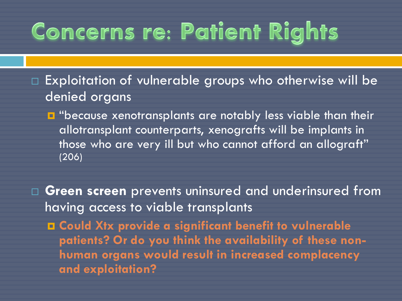#### **Concerns re: Patient Rights**

□ Exploitation of vulnerable groups who otherwise will be denied organs

**D** "because xenotransplants are notably less viable than their allotransplant counterparts, xenografts will be implants in those who are very ill but who cannot afford an allograft" (206)

 **Green screen** prevents uninsured and underinsured from having access to viable transplants **Could Xtx provide a significant benefit to vulnerable patients? Or do you think the availability of these nonhuman organs would result in increased complacency and exploitation?**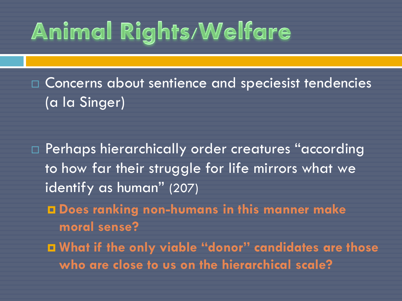### **Animal Rights/Welfare**

 Concerns about sentience and speciesist tendencies (a la Singer)

 Perhaps hierarchically order creatures "according to how far their struggle for life mirrors what we identify as human" (207)

 **Does ranking non-humans in this manner make moral sense?** 

 **What if the only viable "donor" candidates are those who are close to us on the hierarchical scale?**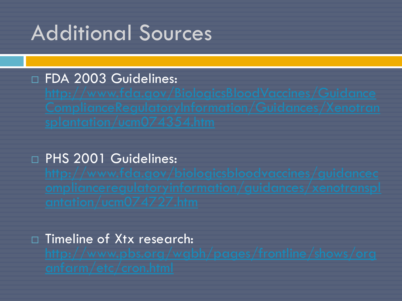#### Additional Sources

#### DE FDA 2003 Guidelines:

#### D PHS 2001 Guidelines:

# □ Timeline of Xtx research: